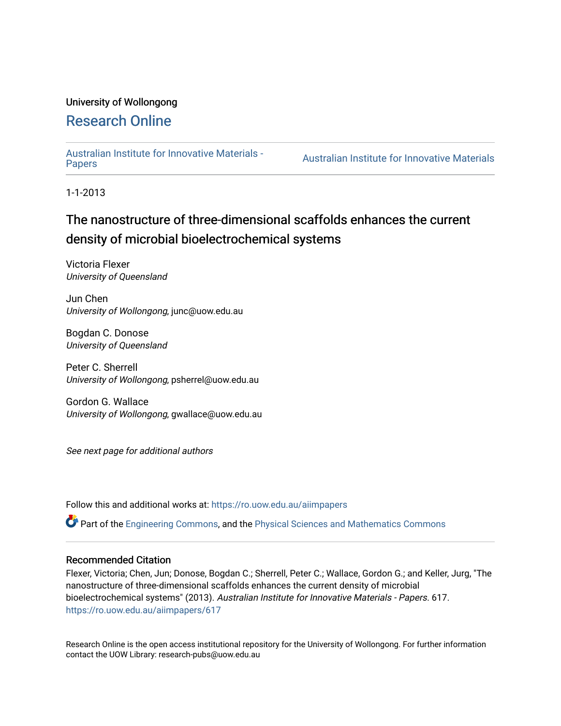# University of Wollongong

# [Research Online](https://ro.uow.edu.au/)

[Australian Institute for Innovative Materials -](https://ro.uow.edu.au/aiimpapers)

**Australian Institute for Innovative Materials** 

1-1-2013

# The nanostructure of three-dimensional scaffolds enhances the current density of microbial bioelectrochemical systems

Victoria Flexer University of Queensland

Jun Chen University of Wollongong, junc@uow.edu.au

Bogdan C. Donose University of Queensland

Peter C. Sherrell University of Wollongong, psherrel@uow.edu.au

Gordon G. Wallace University of Wollongong, gwallace@uow.edu.au

See next page for additional authors

Follow this and additional works at: [https://ro.uow.edu.au/aiimpapers](https://ro.uow.edu.au/aiimpapers?utm_source=ro.uow.edu.au%2Faiimpapers%2F617&utm_medium=PDF&utm_campaign=PDFCoverPages)

Part of the [Engineering Commons](http://network.bepress.com/hgg/discipline/217?utm_source=ro.uow.edu.au%2Faiimpapers%2F617&utm_medium=PDF&utm_campaign=PDFCoverPages), and the [Physical Sciences and Mathematics Commons](http://network.bepress.com/hgg/discipline/114?utm_source=ro.uow.edu.au%2Faiimpapers%2F617&utm_medium=PDF&utm_campaign=PDFCoverPages) 

#### Recommended Citation

Flexer, Victoria; Chen, Jun; Donose, Bogdan C.; Sherrell, Peter C.; Wallace, Gordon G.; and Keller, Jurg, "The nanostructure of three-dimensional scaffolds enhances the current density of microbial bioelectrochemical systems" (2013). Australian Institute for Innovative Materials - Papers. 617. [https://ro.uow.edu.au/aiimpapers/617](https://ro.uow.edu.au/aiimpapers/617?utm_source=ro.uow.edu.au%2Faiimpapers%2F617&utm_medium=PDF&utm_campaign=PDFCoverPages)

Research Online is the open access institutional repository for the University of Wollongong. For further information contact the UOW Library: research-pubs@uow.edu.au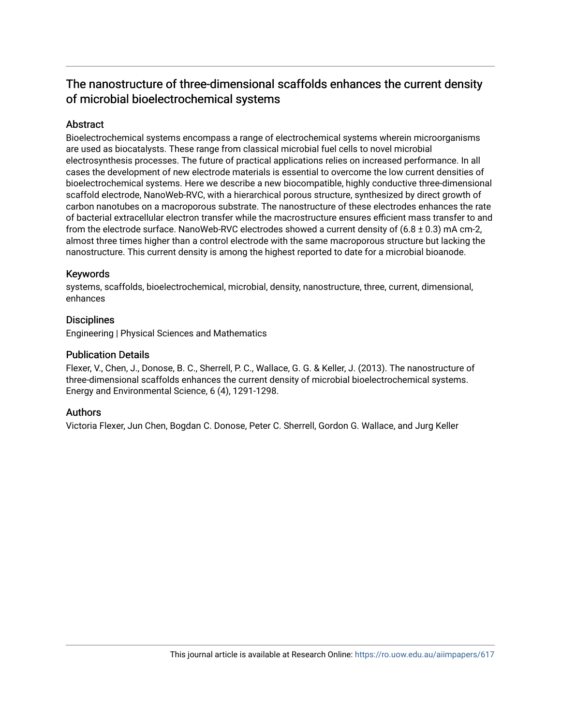# The nanostructure of three-dimensional scaffolds enhances the current density of microbial bioelectrochemical systems

# Abstract

Bioelectrochemical systems encompass a range of electrochemical systems wherein microorganisms are used as biocatalysts. These range from classical microbial fuel cells to novel microbial electrosynthesis processes. The future of practical applications relies on increased performance. In all cases the development of new electrode materials is essential to overcome the low current densities of bioelectrochemical systems. Here we describe a new biocompatible, highly conductive three-dimensional scaffold electrode, NanoWeb-RVC, with a hierarchical porous structure, synthesized by direct growth of carbon nanotubes on a macroporous substrate. The nanostructure of these electrodes enhances the rate of bacterial extracellular electron transfer while the macrostructure ensures efficient mass transfer to and from the electrode surface. NanoWeb-RVC electrodes showed a current density of  $(6.8 \pm 0.3)$  mA cm-2, almost three times higher than a control electrode with the same macroporous structure but lacking the nanostructure. This current density is among the highest reported to date for a microbial bioanode.

## Keywords

systems, scaffolds, bioelectrochemical, microbial, density, nanostructure, three, current, dimensional, enhances

## **Disciplines**

Engineering | Physical Sciences and Mathematics

#### Publication Details

Flexer, V., Chen, J., Donose, B. C., Sherrell, P. C., Wallace, G. G. & Keller, J. (2013). The nanostructure of three-dimensional scaffolds enhances the current density of microbial bioelectrochemical systems. Energy and Environmental Science, 6 (4), 1291-1298.

## Authors

Victoria Flexer, Jun Chen, Bogdan C. Donose, Peter C. Sherrell, Gordon G. Wallace, and Jurg Keller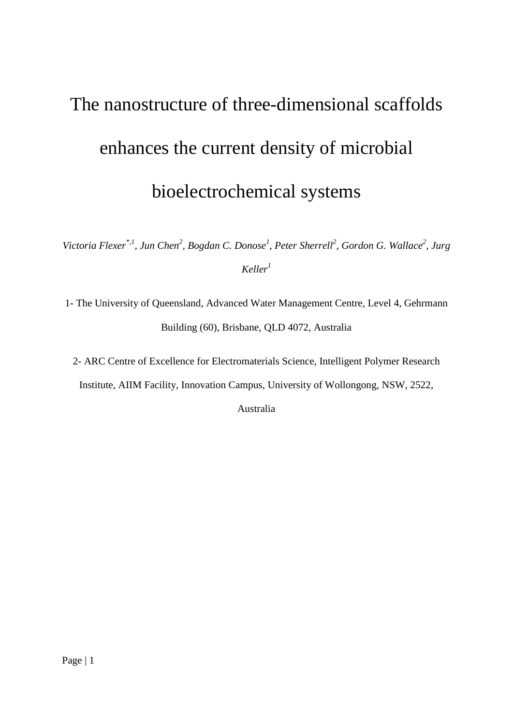# The nanostructure of three-dimensional scaffolds enhances the current density of microbial bioelectrochemical systems

Victoria Flexer<sup>\*,1</sup>, Jun Chen<sup>2</sup>, Bogdan C. Donose<sup>1</sup>, Peter Sherrell<sup>2</sup>, Gordon G. Wallace<sup>2</sup>, Jurg *Keller<sup>1</sup>*

1- The University of Queensland, Advanced Water Management Centre, Level 4, Gehrmann Building (60), Brisbane, QLD 4072, Australia

2- ARC Centre of Excellence for Electromaterials Science, Intelligent Polymer Research

Institute, AIIM Facility, Innovation Campus, University of Wollongong, NSW, 2522,

Australia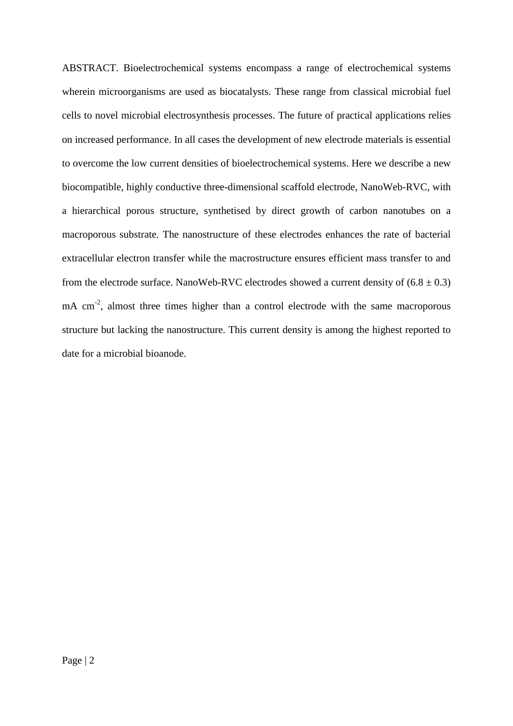ABSTRACT. Bioelectrochemical systems encompass a range of electrochemical systems wherein microorganisms are used as biocatalysts. These range from classical microbial fuel cells to novel microbial electrosynthesis processes. The future of practical applications relies on increased performance. In all cases the development of new electrode materials is essential to overcome the low current densities of bioelectrochemical systems. Here we describe a new biocompatible, highly conductive three-dimensional scaffold electrode, NanoWeb-RVC, with a hierarchical porous structure, synthetised by direct growth of carbon nanotubes on a macroporous substrate. The nanostructure of these electrodes enhances the rate of bacterial extracellular electron transfer while the macrostructure ensures efficient mass transfer to and from the electrode surface. NanoWeb-RVC electrodes showed a current density of  $(6.8 \pm 0.3)$  $mA$  cm<sup>-2</sup>, almost three times higher than a control electrode with the same macroporous structure but lacking the nanostructure. This current density is among the highest reported to date for a microbial bioanode.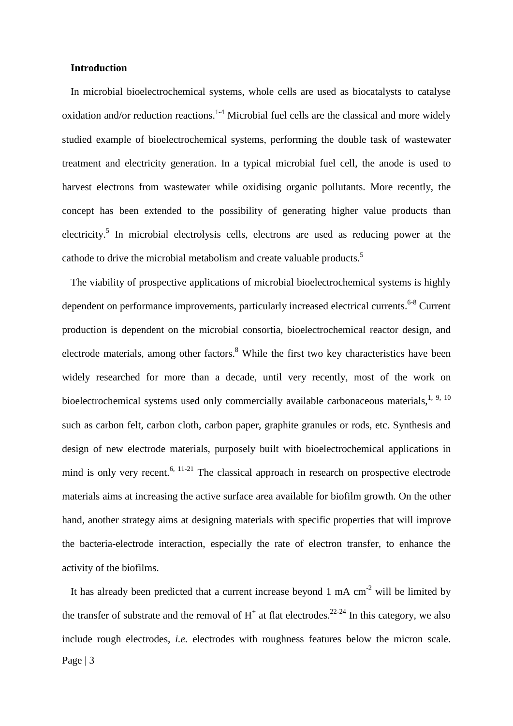#### **Introduction**

In microbial bioelectrochemical systems, whole cells are used as biocatalysts to catalyse oxidation and/or reduction reactions.<sup>1-4</sup> Microbial fuel cells are the classical and more widely studied example of bioelectrochemical systems, performing the double task of wastewater treatment and electricity generation. In a typical microbial fuel cell, the anode is used to harvest electrons from wastewater while oxidising organic pollutants. More recently, the concept has been extended to the possibility of generating higher value products than electricity.<sup>[5](#page-24-1)</sup> In microbial electrolysis cells, electrons are used as reducing power at the cathode to drive the microbial metabolism and create valuable products.<sup>5</sup>

The viability of prospective applications of microbial bioelectrochemical systems is highly dependent on performance improvements, particularly increased electrical currents.<sup>[6-8](#page-24-2)</sup> Current production is dependent on the microbial consortia, bioelectrochemical reactor design, and electrode materials, among other factors.<sup>8</sup> While the first two key characteristics have been widely researched for more than a decade, until very recently, most of the work on bioelectrochemical systems used only commercially available carbonaceous materials, $1, 9, 10$  $1, 9, 10$  $1, 9, 10$ such as carbon felt, carbon cloth, carbon paper, graphite granules or rods, etc. Synthesis and design of new electrode materials, purposely built with bioelectrochemical applications in mind is only very recent.<sup>6, [11-21](#page-24-6)</sup> The classical approach in research on prospective electrode materials aims at increasing the active surface area available for biofilm growth. On the other hand, another strategy aims at designing materials with specific properties that will improve the bacteria-electrode interaction, especially the rate of electron transfer, to enhance the activity of the biofilms.

Page | 3 It has already been predicted that a current increase beyond 1 mA  $cm^{-2}$  will be limited by the transfer of substrate and the removal of  $H^+$  at flat electrodes.<sup>[22-24](#page-24-7)</sup> In this category, we also include rough electrodes, *i.e.* electrodes with roughness features below the micron scale.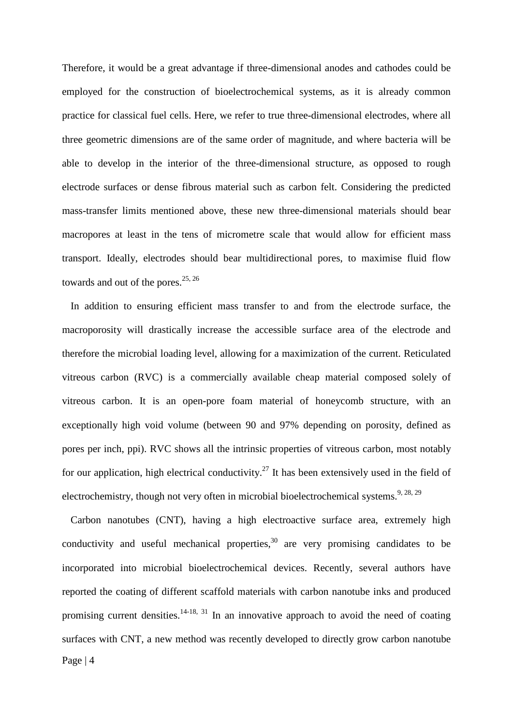Therefore, it would be a great advantage if three-dimensional anodes and cathodes could be employed for the construction of bioelectrochemical systems, as it is already common practice for classical fuel cells. Here, we refer to true three-dimensional electrodes, where all three geometric dimensions are of the same order of magnitude, and where bacteria will be able to develop in the interior of the three-dimensional structure, as opposed to rough electrode surfaces or dense fibrous material such as carbon felt. Considering the predicted mass-transfer limits mentioned above, these new three-dimensional materials should bear macropores at least in the tens of micrometre scale that would allow for efficient mass transport. Ideally, electrodes should bear multidirectional pores, to maximise fluid flow towards and out of the pores.  $25, 26$  $25, 26$ 

In addition to ensuring efficient mass transfer to and from the electrode surface, the macroporosity will drastically increase the accessible surface area of the electrode and therefore the microbial loading level, allowing for a maximization of the current. Reticulated vitreous carbon (RVC) is a commercially available cheap material composed solely of vitreous carbon. It is an open-pore foam material of honeycomb structure, with an exceptionally high void volume (between 90 and 97% depending on porosity, defined as pores per inch, ppi). RVC shows all the intrinsic properties of vitreous carbon, most notably for our application, high electrical conductivity.<sup>27</sup> It has been extensively used in the field of electrochemistry, though not very often in microbial bioelectrochemical systems.<sup>9, [28,](#page-25-0) [29](#page-25-1)</sup>

Page | 4 Carbon nanotubes (CNT), having a high electroactive surface area, extremely high conductivity and useful mechanical properties,  $30$  are very promising candidates to be incorporated into microbial bioelectrochemical devices. Recently, several authors have reported the coating of different scaffold materials with carbon nanotube inks and produced promising current densities.<sup>[14-18,](#page-24-11) [31](#page-25-3)</sup> In an innovative approach to avoid the need of coating surfaces with CNT, a new method was recently developed to directly grow carbon nanotube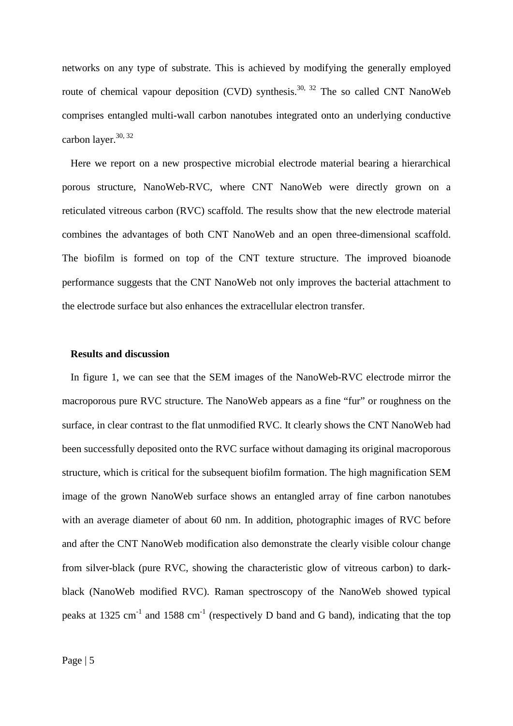networks on any type of substrate. This is achieved by modifying the generally employed route of chemical vapour deposition (CVD) synthesis.<sup>30, [32](#page-25-4)</sup> The so called CNT NanoWeb comprises entangled multi-wall carbon nanotubes integrated onto an underlying conductive carbon layer. $30, 32$  $30, 32$ 

Here we report on a new prospective microbial electrode material bearing a hierarchical porous structure, NanoWeb-RVC, where CNT NanoWeb were directly grown on a reticulated vitreous carbon (RVC) scaffold. The results show that the new electrode material combines the advantages of both CNT NanoWeb and an open three-dimensional scaffold. The biofilm is formed on top of the CNT texture structure. The improved bioanode performance suggests that the CNT NanoWeb not only improves the bacterial attachment to the electrode surface but also enhances the extracellular electron transfer.

#### **Results and discussion**

In figure 1, we can see that the SEM images of the NanoWeb-RVC electrode mirror the macroporous pure RVC structure. The NanoWeb appears as a fine "fur" or roughness on the surface, in clear contrast to the flat unmodified RVC. It clearly shows the CNT NanoWeb had been successfully deposited onto the RVC surface without damaging its original macroporous structure, which is critical for the subsequent biofilm formation. The high magnification SEM image of the grown NanoWeb surface shows an entangled array of fine carbon nanotubes with an average diameter of about 60 nm. In addition, photographic images of RVC before and after the CNT NanoWeb modification also demonstrate the clearly visible colour change from silver-black (pure RVC, showing the characteristic glow of vitreous carbon) to darkblack (NanoWeb modified RVC). Raman spectroscopy of the NanoWeb showed typical peaks at 1325 cm<sup>-1</sup> and 1588 cm<sup>-1</sup> (respectively D band and G band), indicating that the top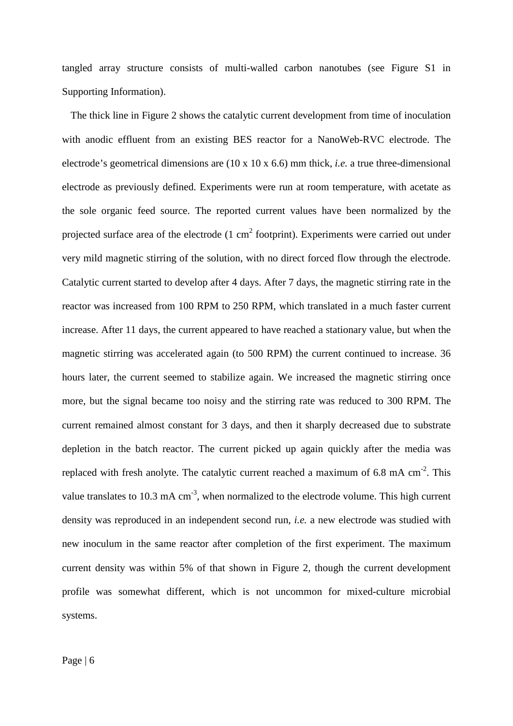tangled array structure consists of multi-walled carbon nanotubes (see Figure S1 in Supporting Information).

The thick line in Figure 2 shows the catalytic current development from time of inoculation with anodic effluent from an existing BES reactor for a NanoWeb-RVC electrode. The electrode's geometrical dimensions are (10 x 10 x 6.6) mm thick, *i.e.* a true three-dimensional electrode as previously defined. Experiments were run at room temperature, with acetate as the sole organic feed source. The reported current values have been normalized by the projected surface area of the electrode  $(1 \text{ cm}^2 \text{ footprint})$ . Experiments were carried out under very mild magnetic stirring of the solution, with no direct forced flow through the electrode. Catalytic current started to develop after 4 days. After 7 days, the magnetic stirring rate in the reactor was increased from 100 RPM to 250 RPM, which translated in a much faster current increase. After 11 days, the current appeared to have reached a stationary value, but when the magnetic stirring was accelerated again (to 500 RPM) the current continued to increase. 36 hours later, the current seemed to stabilize again. We increased the magnetic stirring once more, but the signal became too noisy and the stirring rate was reduced to 300 RPM. The current remained almost constant for 3 days, and then it sharply decreased due to substrate depletion in the batch reactor. The current picked up again quickly after the media was replaced with fresh anolyte. The catalytic current reached a maximum of 6.8 mA  $cm<sup>-2</sup>$ . This value translates to 10.3 mA  $cm^{-3}$ , when normalized to the electrode volume. This high current density was reproduced in an independent second run, *i.e.* a new electrode was studied with new inoculum in the same reactor after completion of the first experiment. The maximum current density was within 5% of that shown in Figure 2, though the current development profile was somewhat different, which is not uncommon for mixed-culture microbial systems.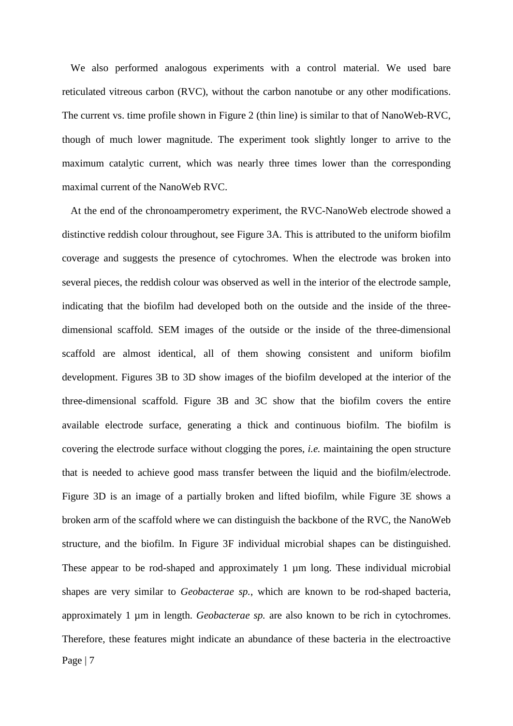We also performed analogous experiments with a control material. We used bare reticulated vitreous carbon (RVC), without the carbon nanotube or any other modifications. The current vs. time profile shown in Figure 2 (thin line) is similar to that of NanoWeb-RVC, though of much lower magnitude. The experiment took slightly longer to arrive to the maximum catalytic current, which was nearly three times lower than the corresponding maximal current of the NanoWeb RVC.

Page | 7 At the end of the chronoamperometry experiment, the RVC-NanoWeb electrode showed a distinctive reddish colour throughout, see Figure 3A. This is attributed to the uniform biofilm coverage and suggests the presence of cytochromes. When the electrode was broken into several pieces, the reddish colour was observed as well in the interior of the electrode sample, indicating that the biofilm had developed both on the outside and the inside of the threedimensional scaffold. SEM images of the outside or the inside of the three-dimensional scaffold are almost identical, all of them showing consistent and uniform biofilm development. Figures 3B to 3D show images of the biofilm developed at the interior of the three-dimensional scaffold. Figure 3B and 3C show that the biofilm covers the entire available electrode surface, generating a thick and continuous biofilm. The biofilm is covering the electrode surface without clogging the pores, *i.e.* maintaining the open structure that is needed to achieve good mass transfer between the liquid and the biofilm/electrode. Figure 3D is an image of a partially broken and lifted biofilm, while Figure 3E shows a broken arm of the scaffold where we can distinguish the backbone of the RVC, the NanoWeb structure, and the biofilm. In Figure 3F individual microbial shapes can be distinguished. These appear to be rod-shaped and approximately 1  $\mu$ m long. These individual microbial shapes are very similar to *Geobacterae sp.*, which are known to be rod-shaped bacteria, approximately 1 µm in length. *Geobacterae sp.* are also known to be rich in cytochromes. Therefore, these features might indicate an abundance of these bacteria in the electroactive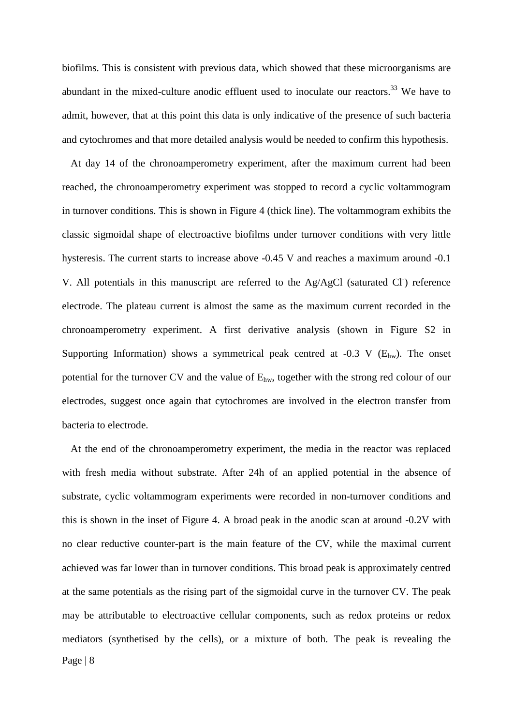biofilms. This is consistent with previous data, which showed that these microorganisms are abundant in the mixed-culture anodic effluent used to inoculate our reactors.<sup>33</sup> We have to admit, however, that at this point this data is only indicative of the presence of such bacteria and cytochromes and that more detailed analysis would be needed to confirm this hypothesis.

At day 14 of the chronoamperometry experiment, after the maximum current had been reached, the chronoamperometry experiment was stopped to record a cyclic voltammogram in turnover conditions. This is shown in Figure 4 (thick line). The voltammogram exhibits the classic sigmoidal shape of electroactive biofilms under turnover conditions with very little hysteresis. The current starts to increase above -0.45 V and reaches a maximum around -0.1 V. All potentials in this manuscript are referred to the Ag/AgCl (saturated Cl) reference electrode. The plateau current is almost the same as the maximum current recorded in the chronoamperometry experiment. A first derivative analysis (shown in Figure S2 in Supporting Information) shows a symmetrical peak centred at  $-0.3$  V ( $E_{hw}$ ). The onset potential for the turnover CV and the value of  $E_{hw}$ , together with the strong red colour of our electrodes, suggest once again that cytochromes are involved in the electron transfer from bacteria to electrode.

Page | 8 At the end of the chronoamperometry experiment, the media in the reactor was replaced with fresh media without substrate. After 24h of an applied potential in the absence of substrate, cyclic voltammogram experiments were recorded in non-turnover conditions and this is shown in the inset of Figure 4. A broad peak in the anodic scan at around -0.2V with no clear reductive counter-part is the main feature of the CV, while the maximal current achieved was far lower than in turnover conditions. This broad peak is approximately centred at the same potentials as the rising part of the sigmoidal curve in the turnover CV. The peak may be attributable to electroactive cellular components, such as redox proteins or redox mediators (synthetised by the cells), or a mixture of both. The peak is revealing the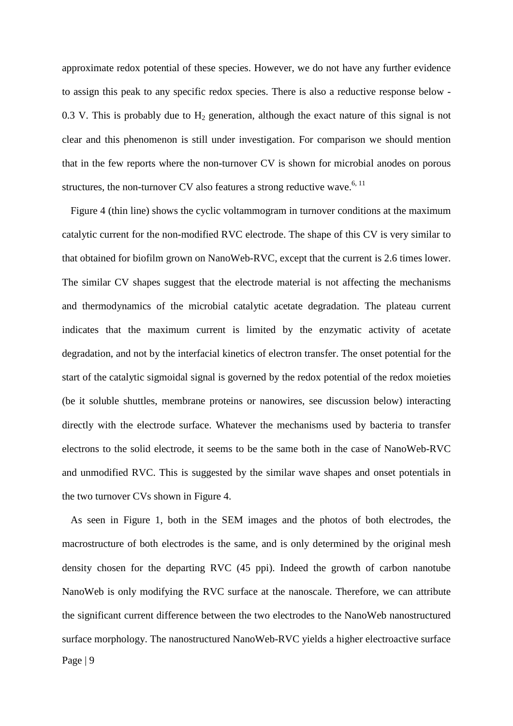approximate redox potential of these species. However, we do not have any further evidence to assign this peak to any specific redox species. There is also a reductive response below - 0.3 V. This is probably due to  $H_2$  generation, although the exact nature of this signal is not clear and this phenomenon is still under investigation. For comparison we should mention that in the few reports where the non-turnover CV is shown for microbial anodes on porous structures, the non-turnover CV also features a strong reductive wave.<sup>6, [11](#page-24-6)</sup>

Figure 4 (thin line) shows the cyclic voltammogram in turnover conditions at the maximum catalytic current for the non-modified RVC electrode. The shape of this CV is very similar to that obtained for biofilm grown on NanoWeb-RVC, except that the current is 2.6 times lower. The similar CV shapes suggest that the electrode material is not affecting the mechanisms and thermodynamics of the microbial catalytic acetate degradation. The plateau current indicates that the maximum current is limited by the enzymatic activity of acetate degradation, and not by the interfacial kinetics of electron transfer. The onset potential for the start of the catalytic sigmoidal signal is governed by the redox potential of the redox moieties (be it soluble shuttles, membrane proteins or nanowires, see discussion below) interacting directly with the electrode surface. Whatever the mechanisms used by bacteria to transfer electrons to the solid electrode, it seems to be the same both in the case of NanoWeb-RVC and unmodified RVC. This is suggested by the similar wave shapes and onset potentials in the two turnover CVs shown in Figure 4.

Page | 9 As seen in Figure 1, both in the SEM images and the photos of both electrodes, the macrostructure of both electrodes is the same, and is only determined by the original mesh density chosen for the departing RVC (45 ppi). Indeed the growth of carbon nanotube NanoWeb is only modifying the RVC surface at the nanoscale. Therefore, we can attribute the significant current difference between the two electrodes to the NanoWeb nanostructured surface morphology. The nanostructured NanoWeb-RVC yields a higher electroactive surface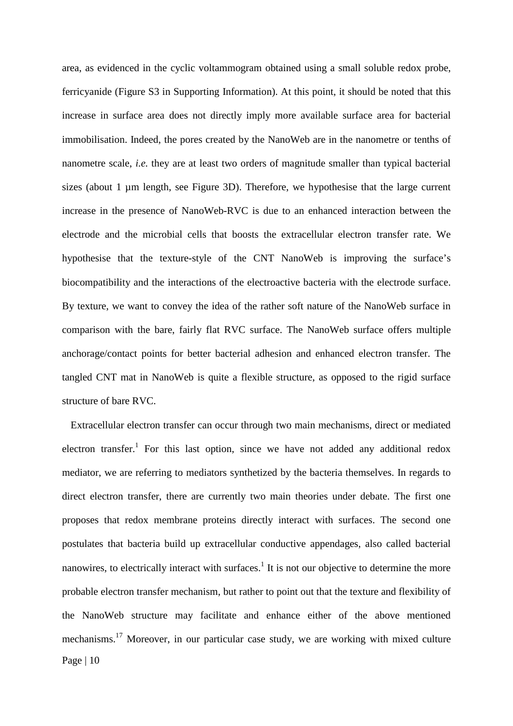area, as evidenced in the cyclic voltammogram obtained using a small soluble redox probe, ferricyanide (Figure S3 in Supporting Information). At this point, it should be noted that this increase in surface area does not directly imply more available surface area for bacterial immobilisation. Indeed, the pores created by the NanoWeb are in the nanometre or tenths of nanometre scale, *i.e.* they are at least two orders of magnitude smaller than typical bacterial sizes (about 1 µm length, see Figure 3D). Therefore, we hypothesise that the large current increase in the presence of NanoWeb-RVC is due to an enhanced interaction between the electrode and the microbial cells that boosts the extracellular electron transfer rate. We hypothesise that the texture-style of the CNT NanoWeb is improving the surface's biocompatibility and the interactions of the electroactive bacteria with the electrode surface. By texture, we want to convey the idea of the rather soft nature of the NanoWeb surface in comparison with the bare, fairly flat RVC surface. The NanoWeb surface offers multiple anchorage/contact points for better bacterial adhesion and enhanced electron transfer. The tangled CNT mat in NanoWeb is quite a flexible structure, as opposed to the rigid surface structure of bare RVC.

Page | 10 Extracellular electron transfer can occur through two main mechanisms, direct or mediated electron transfer.<sup>1</sup> For this last option, since we have not added any additional redox mediator, we are referring to mediators synthetized by the bacteria themselves. In regards to direct electron transfer, there are currently two main theories under debate. The first one proposes that redox membrane proteins directly interact with surfaces. The second one postulates that bacteria build up extracellular conductive appendages, also called bacterial nanowires, to electrically interact with surfaces.<sup>1</sup> It is not our objective to determine the more probable electron transfer mechanism, but rather to point out that the texture and flexibility of the NanoWeb structure may facilitate and enhance either of the above mentioned mechanisms[.17](#page-24-12) Moreover, in our particular case study, we are working with mixed culture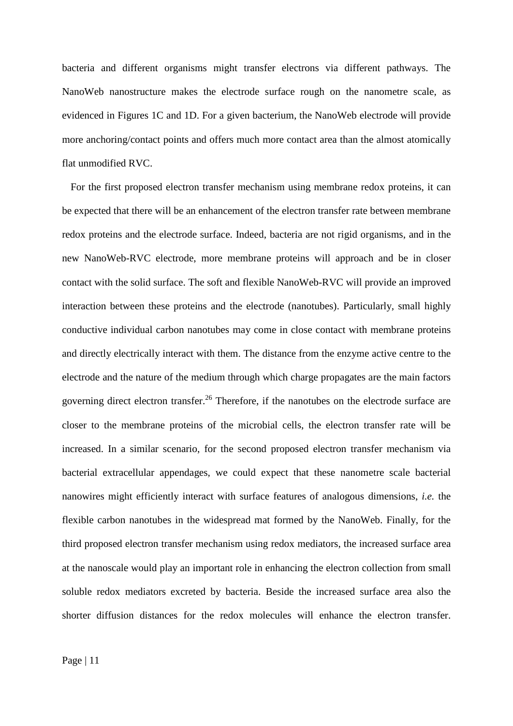bacteria and different organisms might transfer electrons via different pathways. The NanoWeb nanostructure makes the electrode surface rough on the nanometre scale, as evidenced in Figures 1C and 1D. For a given bacterium, the NanoWeb electrode will provide more anchoring/contact points and offers much more contact area than the almost atomically flat unmodified RVC.

For the first proposed electron transfer mechanism using membrane redox proteins, it can be expected that there will be an enhancement of the electron transfer rate between membrane redox proteins and the electrode surface. Indeed, bacteria are not rigid organisms, and in the new NanoWeb-RVC electrode, more membrane proteins will approach and be in closer contact with the solid surface. The soft and flexible NanoWeb-RVC will provide an improved interaction between these proteins and the electrode (nanotubes). Particularly, small highly conductive individual carbon nanotubes may come in close contact with membrane proteins and directly electrically interact with them. The distance from the enzyme active centre to the electrode and the nature of the medium through which charge propagates are the main factors governing direct electron transfer.<sup>26</sup> Therefore, if the nanotubes on the electrode surface are closer to the membrane proteins of the microbial cells, the electron transfer rate will be increased. In a similar scenario, for the second proposed electron transfer mechanism via bacterial extracellular appendages, we could expect that these nanometre scale bacterial nanowires might efficiently interact with surface features of analogous dimensions, *i.e.* the flexible carbon nanotubes in the widespread mat formed by the NanoWeb. Finally, for the third proposed electron transfer mechanism using redox mediators, the increased surface area at the nanoscale would play an important role in enhancing the electron collection from small soluble redox mediators excreted by bacteria. Beside the increased surface area also the shorter diffusion distances for the redox molecules will enhance the electron transfer.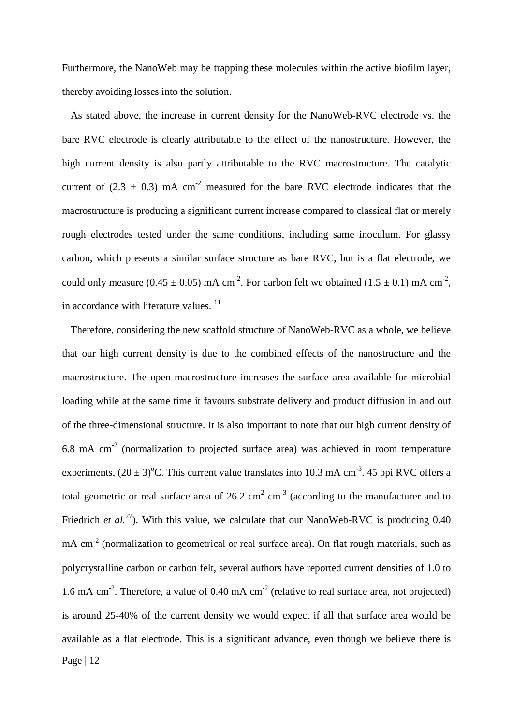Furthermore, the NanoWeb may be trapping these molecules within the active biofilm layer, thereby avoiding losses into the solution.

As stated above, the increase in current density for the NanoWeb-RVC electrode vs. the bare RVC electrode is clearly attributable to the effect of the nanostructure. However, the high current density is also partly attributable to the RVC macrostructure. The catalytic current of  $(2.3 \pm 0.3)$  mA cm<sup>-2</sup> measured for the bare RVC electrode indicates that the macrostructure is producing a significant current increase compared to classical flat or merely rough electrodes tested under the same conditions, including same inoculum. For glassy carbon, which presents a similar surface structure as bare RVC, but is a flat electrode, we could only measure (0.45  $\pm$  0.05) mA cm<sup>-2</sup>. For carbon felt we obtained (1.5  $\pm$  0.1) mA cm<sup>-2</sup>, in accordance with literature values.<sup>[11](#page-24-6)</sup>

Page | 12 Therefore, considering the new scaffold structure of NanoWeb-RVC as a whole, we believe that our high current density is due to the combined effects of the nanostructure and the macrostructure. The open macrostructure increases the surface area available for microbial loading while at the same time it favours substrate delivery and product diffusion in and out of the three-dimensional structure. It is also important to note that our high current density of  $6.8$  mA cm<sup>-2</sup> (normalization to projected surface area) was achieved in room temperature experiments,  $(20 \pm 3)$ <sup>o</sup>C. This current value translates into 10.3 mA cm<sup>-3</sup>. 45 ppi RVC offers a total geometric or real surface area of 26.2  $\text{cm}^2$   $\text{cm}^3$  (according to the manufacturer and to Friedrich *et al.*<sup>27</sup>). With this value, we calculate that our NanoWeb-RVC is producing 0.40 mA cm<sup>-2</sup> (normalization to geometrical or real surface area). On flat rough materials, such as polycrystalline carbon or carbon felt, several authors have reported current densities of 1.0 to 1.6 mA cm<sup>-2</sup>. Therefore, a value of 0.40 mA cm<sup>-2</sup> (relative to real surface area, not projected) is around 25-40% of the current density we would expect if all that surface area would be available as a flat electrode. This is a significant advance, even though we believe there is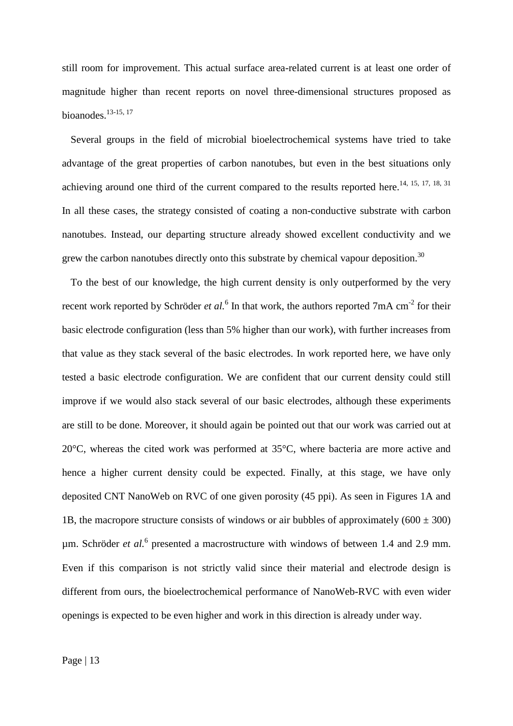still room for improvement. This actual surface area-related current is at least one order of magnitude higher than recent reports on novel three-dimensional structures proposed as bioanodes. $13-15$ , [17](#page-24-12)

Several groups in the field of microbial bioelectrochemical systems have tried to take advantage of the great properties of carbon nanotubes, but even in the best situations only achieving around one third of the current compared to the results reported here.<sup>14, [15,](#page-24-14) [17,](#page-24-12) [18,](#page-24-15) 31</sup> In all these cases, the strategy consisted of coating a non-conductive substrate with carbon nanotubes. Instead, our departing structure already showed excellent conductivity and we grew the carbon nanotubes directly onto this substrate by chemical vapour deposition.<sup>30</sup>

To the best of our knowledge, the high current density is only outperformed by the very recent work reported by Schröder *et al.*<sup>[6](#page-24-2)</sup> In that work, the authors reported 7mA cm<sup>-2</sup> for their basic electrode configuration (less than 5% higher than our work), with further increases from that value as they stack several of the basic electrodes. In work reported here, we have only tested a basic electrode configuration. We are confident that our current density could still improve if we would also stack several of our basic electrodes, although these experiments are still to be done. Moreover, it should again be pointed out that our work was carried out at 20°C, whereas the cited work was performed at 35°C, where bacteria are more active and hence a higher current density could be expected. Finally, at this stage, we have only deposited CNT NanoWeb on RVC of one given porosity (45 ppi). As seen in Figures 1A and 1B, the macropore structure consists of windows or air bubbles of approximately  $(600 \pm 300)$ µm. Schröder *et al.*[6](#page-24-2) presented a macrostructure with windows of between 1.4 and 2.9 mm. Even if this comparison is not strictly valid since their material and electrode design is different from ours, the bioelectrochemical performance of NanoWeb-RVC with even wider openings is expected to be even higher and work in this direction is already under way.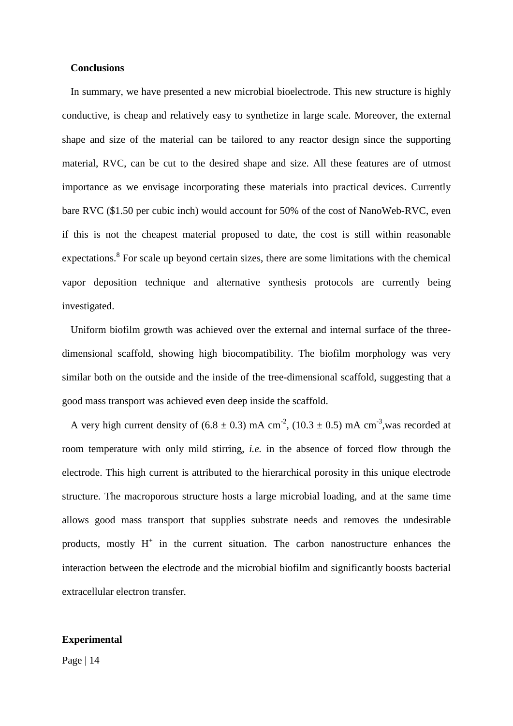#### **Conclusions**

In summary, we have presented a new microbial bioelectrode. This new structure is highly conductive, is cheap and relatively easy to synthetize in large scale. Moreover, the external shape and size of the material can be tailored to any reactor design since the supporting material, RVC, can be cut to the desired shape and size. All these features are of utmost importance as we envisage incorporating these materials into practical devices. Currently bare RVC (\$1.50 per cubic inch) would account for 50% of the cost of NanoWeb-RVC, even if this is not the cheapest material proposed to date, the cost is still within reasonable expectations.<sup>8</sup> For scale up beyond certain sizes, there are some limitations with the chemical vapor deposition technique and alternative synthesis protocols are currently being investigated.

Uniform biofilm growth was achieved over the external and internal surface of the threedimensional scaffold, showing high biocompatibility. The biofilm morphology was very similar both on the outside and the inside of the tree-dimensional scaffold, suggesting that a good mass transport was achieved even deep inside the scaffold.

A very high current density of  $(6.8 \pm 0.3)$  mA cm<sup>-2</sup>,  $(10.3 \pm 0.5)$  mA cm<sup>-3</sup>, was recorded at room temperature with only mild stirring, *i.e.* in the absence of forced flow through the electrode. This high current is attributed to the hierarchical porosity in this unique electrode structure. The macroporous structure hosts a large microbial loading, and at the same time allows good mass transport that supplies substrate needs and removes the undesirable products, mostly  $H^+$  in the current situation. The carbon nanostructure enhances the interaction between the electrode and the microbial biofilm and significantly boosts bacterial extracellular electron transfer.

## **Experimental**

Page | 14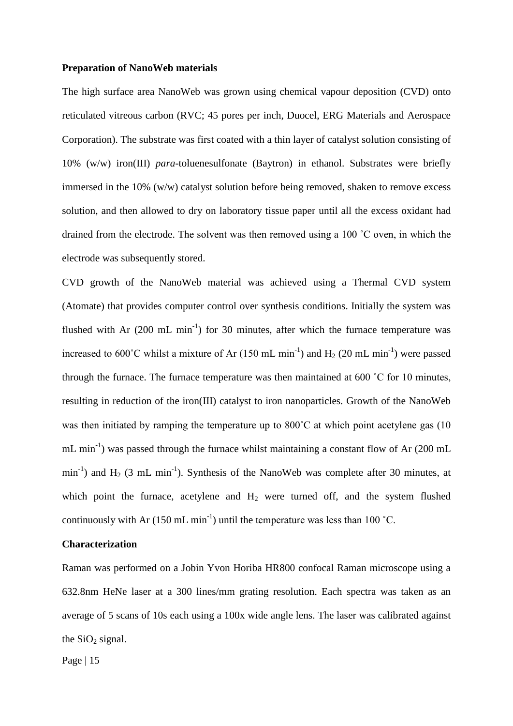#### **Preparation of NanoWeb materials**

The high surface area NanoWeb was grown using chemical vapour deposition (CVD) onto reticulated vitreous carbon (RVC; 45 pores per inch, Duocel, ERG Materials and Aerospace Corporation). The substrate was first coated with a thin layer of catalyst solution consisting of 10% (w/w) iron(III) *para*-toluenesulfonate (Baytron) in ethanol. Substrates were briefly immersed in the 10% (w/w) catalyst solution before being removed, shaken to remove excess solution, and then allowed to dry on laboratory tissue paper until all the excess oxidant had drained from the electrode. The solvent was then removed using a 100 ˚C oven, in which the electrode was subsequently stored.

CVD growth of the NanoWeb material was achieved using a Thermal CVD system (Atomate) that provides computer control over synthesis conditions. Initially the system was flushed with Ar  $(200 \text{ mL min}^{-1})$  for 30 minutes, after which the furnace temperature was increased to 600°C whilst a mixture of Ar (150 mL min<sup>-1</sup>) and  $H_2$  (20 mL min<sup>-1</sup>) were passed through the furnace. The furnace temperature was then maintained at 600 ˚C for 10 minutes, resulting in reduction of the iron(III) catalyst to iron nanoparticles. Growth of the NanoWeb was then initiated by ramping the temperature up to 800°C at which point acetylene gas (10) mL min<sup>-1</sup>) was passed through the furnace whilst maintaining a constant flow of Ar  $(200 \text{ mL})$  $\min^{-1}$ ) and H<sub>2</sub> (3 mL min<sup>-1</sup>). Synthesis of the NanoWeb was complete after 30 minutes, at which point the furnace, acetylene and  $H<sub>2</sub>$  were turned off, and the system flushed continuously with Ar (150 mL min<sup>-1</sup>) until the temperature was less than 100 °C.

#### **Characterization**

Raman was performed on a Jobin Yvon Horiba HR800 confocal Raman microscope using a 632.8nm HeNe laser at a 300 lines/mm grating resolution. Each spectra was taken as an average of 5 scans of 10s each using a 100x wide angle lens. The laser was calibrated against the  $SiO<sub>2</sub>$  signal.

Page | 15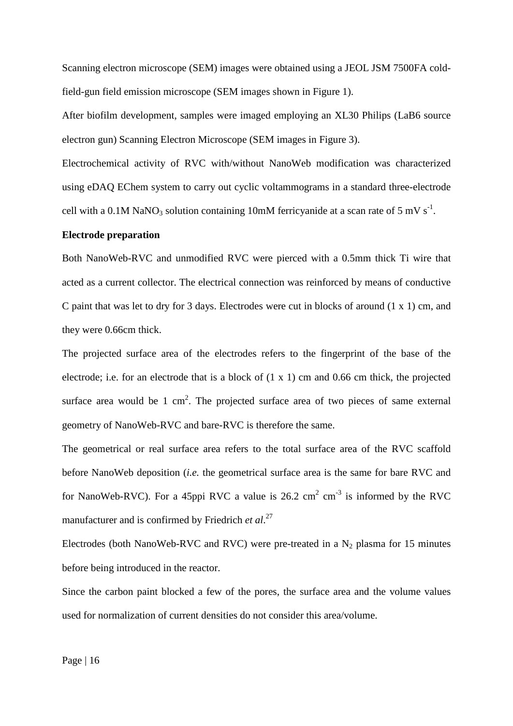Scanning electron microscope (SEM) images were obtained using a JEOL JSM 7500FA coldfield-gun field emission microscope (SEM images shown in Figure 1).

After biofilm development, samples were imaged employing an XL30 Philips (LaB6 source electron gun) Scanning Electron Microscope (SEM images in Figure 3).

Electrochemical activity of RVC with/without NanoWeb modification was characterized using eDAQ EChem system to carry out cyclic voltammograms in a standard three-electrode cell with a 0.1M NaNO<sub>3</sub> solution containing 10mM ferricyanide at a scan rate of 5 mV s<sup>-1</sup>.

#### **Electrode preparation**

Both NanoWeb-RVC and unmodified RVC were pierced with a 0.5mm thick Ti wire that acted as a current collector. The electrical connection was reinforced by means of conductive C paint that was let to dry for 3 days. Electrodes were cut in blocks of around (1 x 1) cm, and they were 0.66cm thick.

The projected surface area of the electrodes refers to the fingerprint of the base of the electrode; i.e. for an electrode that is a block of  $(1 \times 1)$  cm and 0.66 cm thick, the projected surface area would be 1  $\text{cm}^2$ . The projected surface area of two pieces of same external geometry of NanoWeb-RVC and bare-RVC is therefore the same.

The geometrical or real surface area refers to the total surface area of the RVC scaffold before NanoWeb deposition (*i.e.* the geometrical surface area is the same for bare RVC and for NanoWeb-RVC). For a 45ppi RVC a value is 26.2 cm<sup>2</sup> cm<sup>-3</sup> is informed by the RVC manufacturer and is confirmed by Friedrich *et al*. [27](#page-24-10)

Electrodes (both NanoWeb-RVC and RVC) were pre-treated in a  $N_2$  plasma for 15 minutes before being introduced in the reactor.

Since the carbon paint blocked a few of the pores, the surface area and the volume values used for normalization of current densities do not consider this area/volume.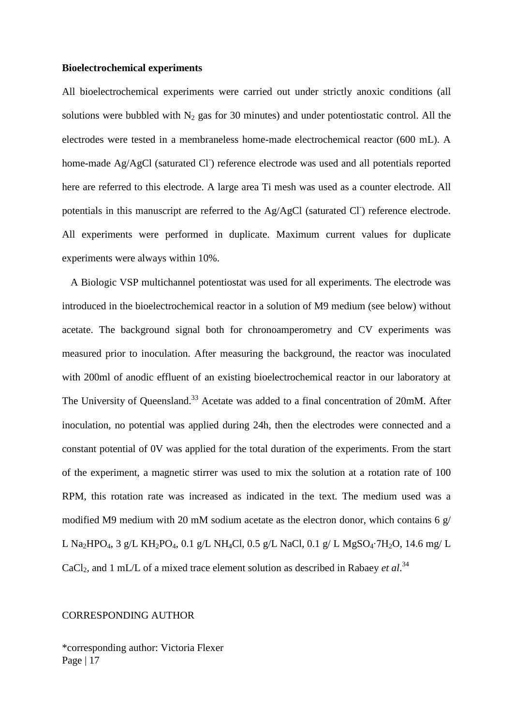#### **Bioelectrochemical experiments**

All bioelectrochemical experiments were carried out under strictly anoxic conditions (all solutions were bubbled with  $N_2$  gas for 30 minutes) and under potentiostatic control. All the electrodes were tested in a membraneless home-made electrochemical reactor (600 mL). A home-made Ag/AgCl (saturated Cl<sup>-</sup>) reference electrode was used and all potentials reported here are referred to this electrode. A large area Ti mesh was used as a counter electrode. All potentials in this manuscript are referred to the Ag/AgCl (saturated Cl) reference electrode. All experiments were performed in duplicate. Maximum current values for duplicate experiments were always within 10%.

A Biologic VSP multichannel potentiostat was used for all experiments. The electrode was introduced in the bioelectrochemical reactor in a solution of M9 medium (see below) without acetate. The background signal both for chronoamperometry and CV experiments was measured prior to inoculation. After measuring the background, the reactor was inoculated with 200ml of anodic effluent of an existing bioelectrochemical reactor in our laboratory at The University of Queensland.<sup>[33](#page-25-5)</sup> Acetate was added to a final concentration of 20mM. After inoculation, no potential was applied during 24h, then the electrodes were connected and a constant potential of 0V was applied for the total duration of the experiments. From the start of the experiment, a magnetic stirrer was used to mix the solution at a rotation rate of 100 RPM, this rotation rate was increased as indicated in the text. The medium used was a modified M9 medium with 20 mM sodium acetate as the electron donor, which contains 6  $g/$ L Na<sub>2</sub>HPO<sub>4</sub>, 3 g/L KH<sub>2</sub>PO<sub>4</sub>, 0.1 g/L NH<sub>4</sub>Cl, 0.5 g/L NaCl, 0.1 g/L MgSO<sub>4</sub>⋅7H<sub>2</sub>O, 14.6 mg/L CaCl<sub>2</sub>, and 1 mL/L of a mixed trace element solution as described in Rabaey *et al*.<sup>[34](#page-25-6)</sup>

#### CORRESPONDING AUTHOR

Page | 17 \*corresponding author: Victoria Flexer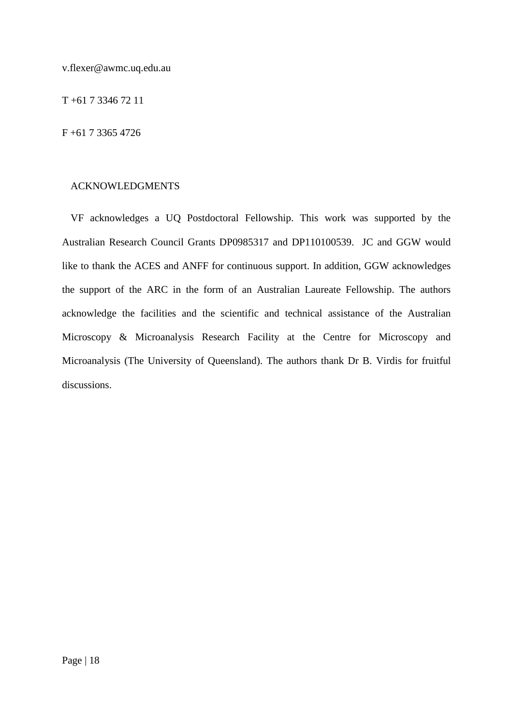v.flexer@awmc.uq.edu.au

T +61 7 3346 72 11

F +61 7 3365 4726

## ACKNOWLEDGMENTS

VF acknowledges a UQ Postdoctoral Fellowship. This work was supported by the Australian Research Council Grants DP0985317 and DP110100539. JC and GGW would like to thank the ACES and ANFF for continuous support. In addition, GGW acknowledges the support of the ARC in the form of an Australian Laureate Fellowship. The authors acknowledge the facilities and the scientific and technical assistance of the Australian Microscopy & Microanalysis Research Facility at the Centre for Microscopy and Microanalysis (The University of Queensland). The authors thank Dr B. Virdis for fruitful discussions.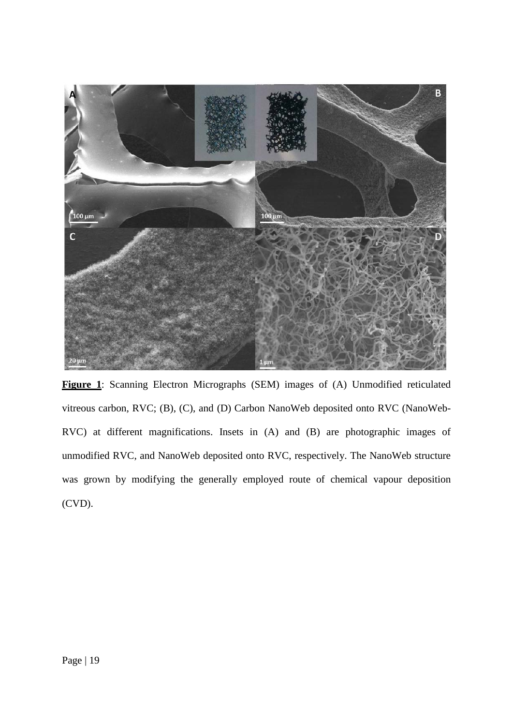

**Figure 1**: Scanning Electron Micrographs (SEM) images of (A) Unmodified reticulated vitreous carbon, RVC; (B), (C), and (D) Carbon NanoWeb deposited onto RVC (NanoWeb-RVC) at different magnifications. Insets in (A) and (B) are photographic images of unmodified RVC, and NanoWeb deposited onto RVC, respectively. The NanoWeb structure was grown by modifying the generally employed route of chemical vapour deposition (CVD).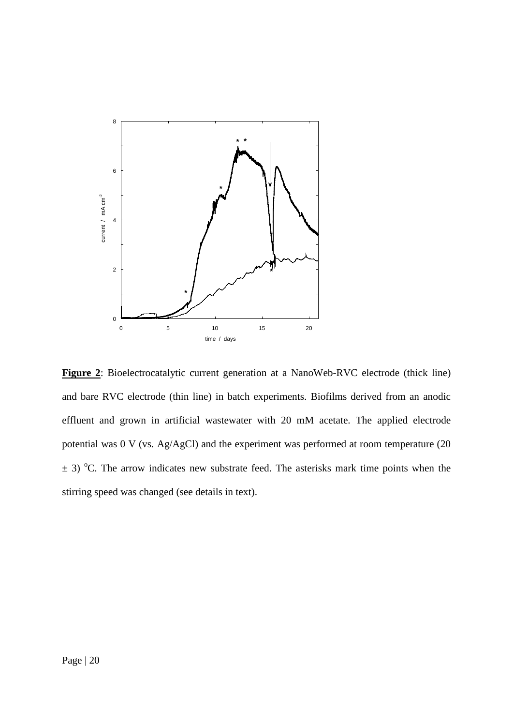

**Figure 2**: Bioelectrocatalytic current generation at a NanoWeb-RVC electrode (thick line) and bare RVC electrode (thin line) in batch experiments. Biofilms derived from an anodic effluent and grown in artificial wastewater with 20 mM acetate. The applied electrode potential was 0 V (vs. Ag/AgCl) and the experiment was performed at room temperature (20  $\pm$  3) °C. The arrow indicates new substrate feed. The asterisks mark time points when the stirring speed was changed (see details in text).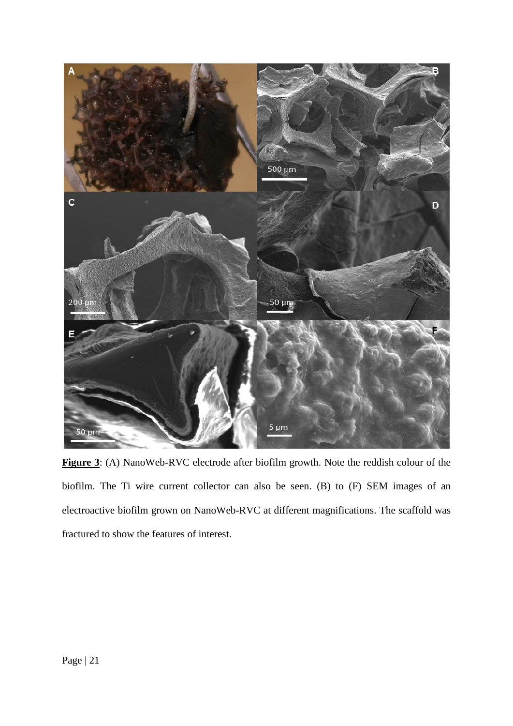

**Figure 3**: (A) NanoWeb-RVC electrode after biofilm growth. Note the reddish colour of the biofilm. The Ti wire current collector can also be seen. (B) to (F) SEM images of an electroactive biofilm grown on NanoWeb-RVC at different magnifications. The scaffold was fractured to show the features of interest.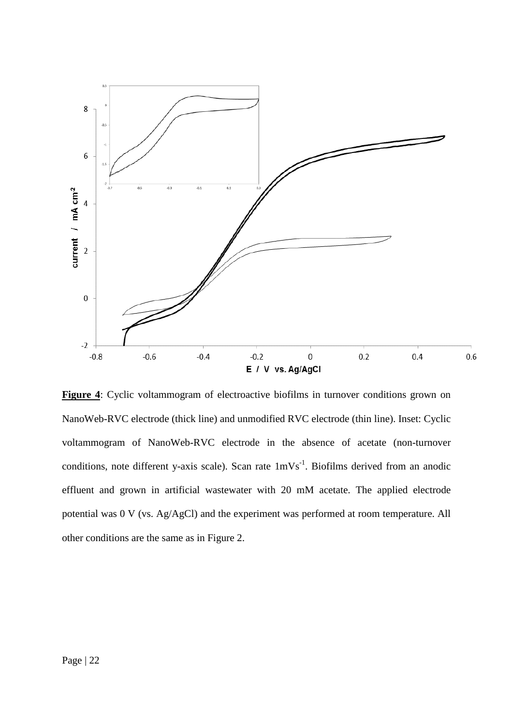

Figure 4: Cyclic voltammogram of electroactive biofilms in turnover conditions grown on NanoWeb-RVC electrode (thick line) and unmodified RVC electrode (thin line). Inset: Cyclic voltammogram of NanoWeb-RVC electrode in the absence of acetate (non-turnover conditions, note different y-axis scale). Scan rate  $1 \text{mVs}^{-1}$ . Biofilms derived from an anodic effluent and grown in artificial wastewater with 20 mM acetate. The applied electrode potential was 0 V (vs. Ag/AgCl) and the experiment was performed at room temperature. All other conditions are the same as in Figure 2.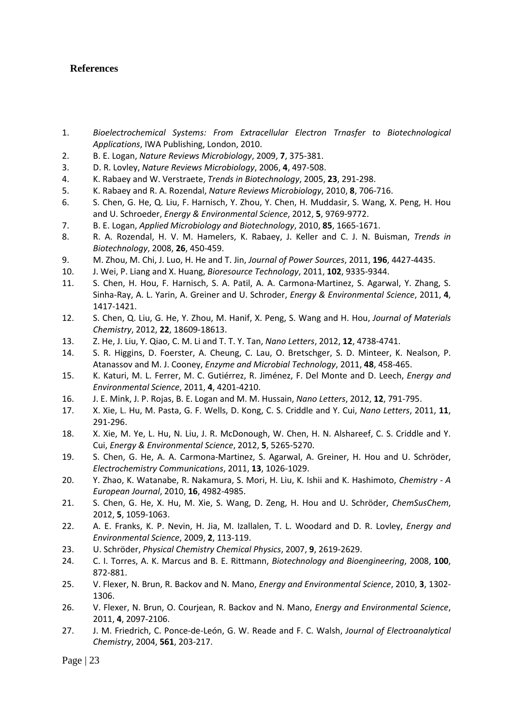# **References**

- <span id="page-24-0"></span>1. *Bioelectrochemical Systems: From Extracellular Electron Trnasfer to Biotechnological Applications*, IWA Publishing, London, 2010.
- 2. B. E. Logan, *Nature Reviews Microbiology*, 2009, **7**, 375-381.
- 3. D. R. Lovley, *Nature Reviews Microbiology*, 2006, **4**, 497-508.
- 4. K. Rabaey and W. Verstraete, *Trends in Biotechnology*, 2005, **23**, 291-298.
- <span id="page-24-1"></span>5. K. Rabaey and R. A. Rozendal, *Nature Reviews Microbiology*, 2010, **8**, 706-716.
- <span id="page-24-2"></span>6. S. Chen, G. He, Q. Liu, F. Harnisch, Y. Zhou, Y. Chen, H. Muddasir, S. Wang, X. Peng, H. Hou and U. Schroeder, *Energy & Environmental Science*, 2012, **5**, 9769-9772.
- 7. B. E. Logan, *Applied Microbiology and Biotechnology*, 2010, **85**, 1665-1671.
- <span id="page-24-3"></span>8. R. A. Rozendal, H. V. M. Hamelers, K. Rabaey, J. Keller and C. J. N. Buisman, *Trends in Biotechnology*, 2008, **26**, 450-459.
- <span id="page-24-4"></span>9. M. Zhou, M. Chi, J. Luo, H. He and T. Jin, *Journal of Power Sources*, 2011, **196**, 4427-4435.
- <span id="page-24-5"></span>10. J. Wei, P. Liang and X. Huang, *Bioresource Technology*, 2011, **102**, 9335-9344.
- <span id="page-24-6"></span>11. S. Chen, H. Hou, F. Harnisch, S. A. Patil, A. A. Carmona-Martinez, S. Agarwal, Y. Zhang, S. Sinha-Ray, A. L. Yarin, A. Greiner and U. Schroder, *Energy & Environmental Science*, 2011, **4**, 1417-1421.
- 12. S. Chen, Q. Liu, G. He, Y. Zhou, M. Hanif, X. Peng, S. Wang and H. Hou, *Journal of Materials Chemistry*, 2012, **22**, 18609-18613.
- <span id="page-24-13"></span>13. Z. He, J. Liu, Y. Qiao, C. M. Li and T. T. Y. Tan, *Nano Letters*, 2012, **12**, 4738-4741.
- <span id="page-24-11"></span>14. S. R. Higgins, D. Foerster, A. Cheung, C. Lau, O. Bretschger, S. D. Minteer, K. Nealson, P. Atanassov and M. J. Cooney, *Enzyme and Microbial Technology*, 2011, **48**, 458-465.
- <span id="page-24-14"></span>15. K. Katuri, M. L. Ferrer, M. C. Gutiérrez, R. Jiménez, F. Del Monte and D. Leech, *Energy and Environmental Science*, 2011, **4**, 4201-4210.
- 16. J. E. Mink, J. P. Rojas, B. E. Logan and M. M. Hussain, *Nano Letters*, 2012, **12**, 791-795.
- <span id="page-24-12"></span>17. X. Xie, L. Hu, M. Pasta, G. F. Wells, D. Kong, C. S. Criddle and Y. Cui, *Nano Letters*, 2011, **11**, 291-296.
- <span id="page-24-15"></span>18. X. Xie, M. Ye, L. Hu, N. Liu, J. R. McDonough, W. Chen, H. N. Alshareef, C. S. Criddle and Y. Cui, *Energy & Environmental Science*, 2012, **5**, 5265-5270.
- 19. S. Chen, G. He, A. A. Carmona-Martinez, S. Agarwal, A. Greiner, H. Hou and U. Schröder, *Electrochemistry Communications*, 2011, **13**, 1026-1029.
- 20. Y. Zhao, K. Watanabe, R. Nakamura, S. Mori, H. Liu, K. Ishii and K. Hashimoto, *Chemistry - A European Journal*, 2010, **16**, 4982-4985.
- 21. S. Chen, G. He, X. Hu, M. Xie, S. Wang, D. Zeng, H. Hou and U. Schröder, *ChemSusChem*, 2012, **5**, 1059-1063.
- <span id="page-24-7"></span>22. A. E. Franks, K. P. Nevin, H. Jia, M. Izallalen, T. L. Woodard and D. R. Lovley, *Energy and Environmental Science*, 2009, **2**, 113-119.
- 23. U. Schröder, *Physical Chemistry Chemical Physics*, 2007, **9**, 2619-2629.
- 24. C. I. Torres, A. K. Marcus and B. E. Rittmann, *Biotechnology and Bioengineering*, 2008, **100**, 872-881.
- <span id="page-24-8"></span>25. V. Flexer, N. Brun, R. Backov and N. Mano, *Energy and Environmental Science*, 2010, **3**, 1302- 1306.
- <span id="page-24-9"></span>26. V. Flexer, N. Brun, O. Courjean, R. Backov and N. Mano, *Energy and Environmental Science*, 2011, **4**, 2097-2106.
- <span id="page-24-10"></span>27. J. M. Friedrich, C. Ponce-de-León, G. W. Reade and F. C. Walsh, *Journal of Electroanalytical Chemistry*, 2004, **561**, 203-217.

Page  $|23$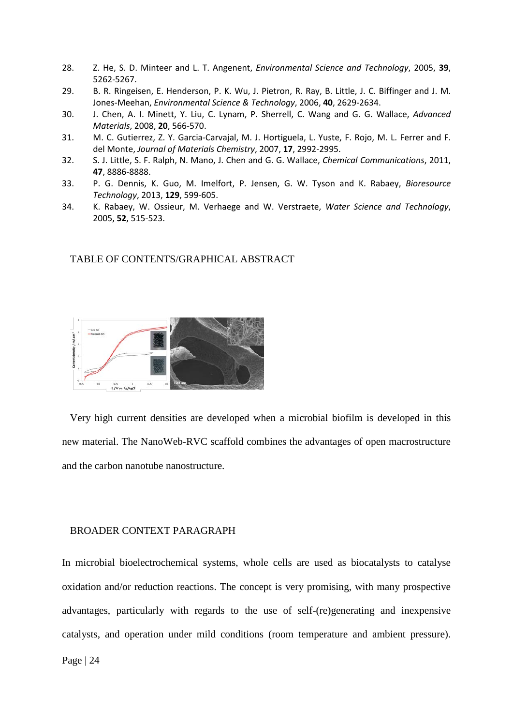- <span id="page-25-0"></span>28. Z. He, S. D. Minteer and L. T. Angenent, *Environmental Science and Technology*, 2005, **39**, 5262-5267.
- <span id="page-25-1"></span>29. B. R. Ringeisen, E. Henderson, P. K. Wu, J. Pietron, R. Ray, B. Little, J. C. Biffinger and J. M. Jones-Meehan, *Environmental Science & Technology*, 2006, **40**, 2629-2634.
- <span id="page-25-2"></span>30. J. Chen, A. I. Minett, Y. Liu, C. Lynam, P. Sherrell, C. Wang and G. G. Wallace, *Advanced Materials*, 2008, **20**, 566-570.
- <span id="page-25-3"></span>31. M. C. Gutierrez, Z. Y. Garcia-Carvajal, M. J. Hortiguela, L. Yuste, F. Rojo, M. L. Ferrer and F. del Monte, *Journal of Materials Chemistry*, 2007, **17**, 2992-2995.
- <span id="page-25-4"></span>32. S. J. Little, S. F. Ralph, N. Mano, J. Chen and G. G. Wallace, *Chemical Communications*, 2011, **47**, 8886-8888.
- <span id="page-25-5"></span>33. P. G. Dennis, K. Guo, M. Imelfort, P. Jensen, G. W. Tyson and K. Rabaey, *Bioresource Technology*, 2013, **129**, 599-605.
- <span id="page-25-6"></span>34. K. Rabaey, W. Ossieur, M. Verhaege and W. Verstraete, *Water Science and Technology*, 2005, **52**, 515-523.

#### TABLE OF CONTENTS/GRAPHICAL ABSTRACT



Very high current densities are developed when a microbial biofilm is developed in this new material. The NanoWeb-RVC scaffold combines the advantages of open macrostructure and the carbon nanotube nanostructure.

#### BROADER CONTEXT PARAGRAPH

In microbial bioelectrochemical systems, whole cells are used as biocatalysts to catalyse oxidation and/or reduction reactions. The concept is very promising, with many prospective advantages, particularly with regards to the use of self-(re)generating and inexpensive catalysts, and operation under mild conditions (room temperature and ambient pressure).